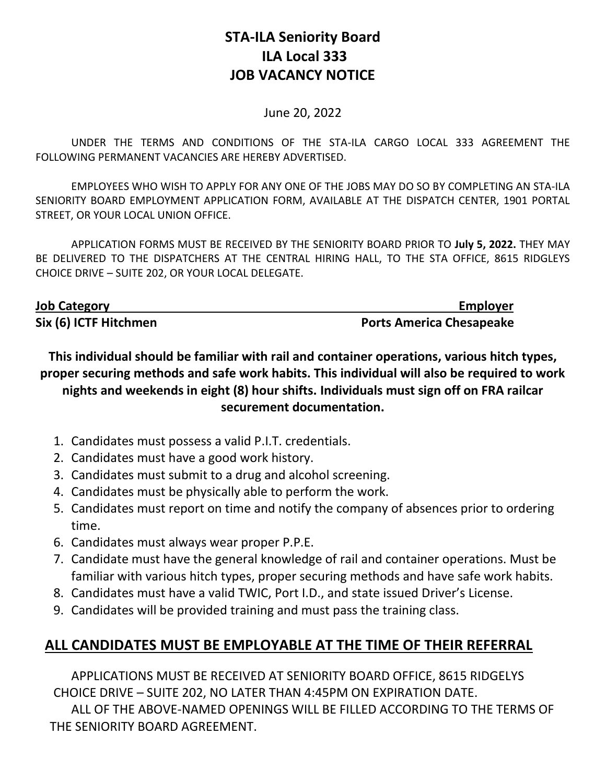## **STA-ILA Seniority Board ILA Local 333 JOB VACANCY NOTICE**

## June 20, 2022

UNDER THE TERMS AND CONDITIONS OF THE STA-ILA CARGO LOCAL 333 AGREEMENT THE FOLLOWING PERMANENT VACANCIES ARE HEREBY ADVERTISED.

EMPLOYEES WHO WISH TO APPLY FOR ANY ONE OF THE JOBS MAY DO SO BY COMPLETING AN STA-ILA SENIORITY BOARD EMPLOYMENT APPLICATION FORM, AVAILABLE AT THE DISPATCH CENTER, 1901 PORTAL STREET, OR YOUR LOCAL UNION OFFICE.

APPLICATION FORMS MUST BE RECEIVED BY THE SENIORITY BOARD PRIOR TO **July 5, 2022.** THEY MAY BE DELIVERED TO THE DISPATCHERS AT THE CENTRAL HIRING HALL, TO THE STA OFFICE, 8615 RIDGLEYS CHOICE DRIVE – SUITE 202, OR YOUR LOCAL DELEGATE.

| <b>Job Category</b>   | <b>Employer</b>                 |
|-----------------------|---------------------------------|
| Six (6) ICTF Hitchmen | <b>Ports America Chesapeake</b> |

**This individual should be familiar with rail and container operations, various hitch types, proper securing methods and safe work habits. This individual will also be required to work nights and weekends in eight (8) hour shifts. Individuals must sign off on FRA railcar securement documentation.** 

- 1. Candidates must possess a valid P.I.T. credentials.
- 2. Candidates must have a good work history.
- 3. Candidates must submit to a drug and alcohol screening.
- 4. Candidates must be physically able to perform the work.
- 5. Candidates must report on time and notify the company of absences prior to ordering time.
- 6. Candidates must always wear proper P.P.E.
- 7. Candidate must have the general knowledge of rail and container operations. Must be familiar with various hitch types, proper securing methods and have safe work habits.
- 8. Candidates must have a valid TWIC, Port I.D., and state issued Driver's License.
- 9. Candidates will be provided training and must pass the training class.

## **ALL CANDIDATES MUST BE EMPLOYABLE AT THE TIME OF THEIR REFERRAL**

APPLICATIONS MUST BE RECEIVED AT SENIORITY BOARD OFFICE, 8615 RIDGELYS CHOICE DRIVE – SUITE 202, NO LATER THAN 4:45PM ON EXPIRATION DATE.

ALL OF THE ABOVE-NAMED OPENINGS WILL BE FILLED ACCORDING TO THE TERMS OF THE SENIORITY BOARD AGREEMENT.